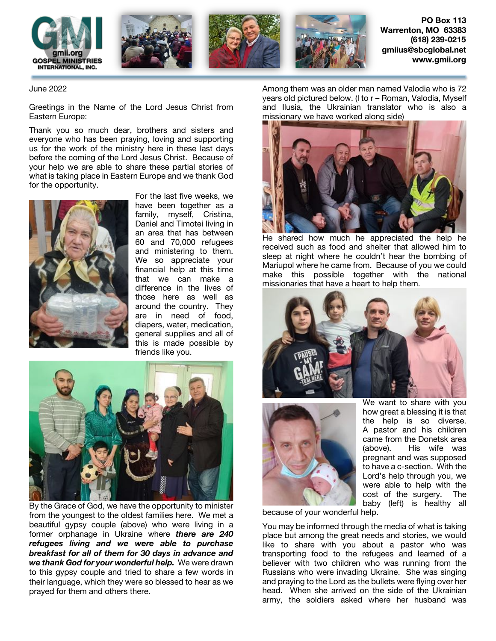

## June 2022

Greetings in the Name of the Lord Jesus Christ from Eastern Europe:

Thank you so much dear, brothers and sisters and everyone who has been praying, loving and supporting us for the work of the ministry here in these last days before the coming of the Lord Jesus Christ. Because of your help we are able to share these partial stories of what is taking place in Eastern Europe and we thank God for the opportunity.



For the last five weeks, we have been together as a family, myself, Cristina, Daniel and Timotei living in an area that has between 60 and 70,000 refugees and ministering to them. We so appreciate your financial help at this time that we can make a difference in the lives of those here as well as around the country. They are in need of food, diapers, water, medication, general supplies and all of this is made possible by friends like you.



By the Grace of God, we have the opportunity to minister from the youngest to the oldest families here. We met a beautiful gypsy couple (above) who were living in a former orphanage in Ukraine where *there are 240 refugees living and we were able to purchase breakfast for all of them for 30 days in advance and we thank God for your wonderful help.* We were drawn to this gypsy couple and tried to share a few words in their language, which they were so blessed to hear as we prayed for them and others there.

Among them was an older man named Valodia who is 72 years old pictured below. (l to r – Roman, Valodia, Myself and Ilusia, the Ukrainian translator who is also a missionary we have worked along side)



He shared how much he appreciated the help he received such as food and shelter that allowed him to sleep at night where he couldn't hear the bombing of Mariupol where he came from. Because of you we could make this possible together with the national missionaries that have a heart to help them.





We want to share with you how great a blessing it is that the help is so diverse. A pastor and his children came from the Donetsk area (above). His wife was pregnant and was supposed to have a c-section. With the Lord's help through you, we were able to help with the cost of the surgery. The baby (left) is healthy all

because of your wonderful help.

You may be informed through the media of what is taking place but among the great needs and stories, we would like to share with you about a pastor who was transporting food to the refugees and learned of a believer with two children who was running from the Russians who were invading Ukraine. She was singing and praying to the Lord as the bullets were flying over her head. When she arrived on the side of the Ukrainian army, the soldiers asked where her husband was